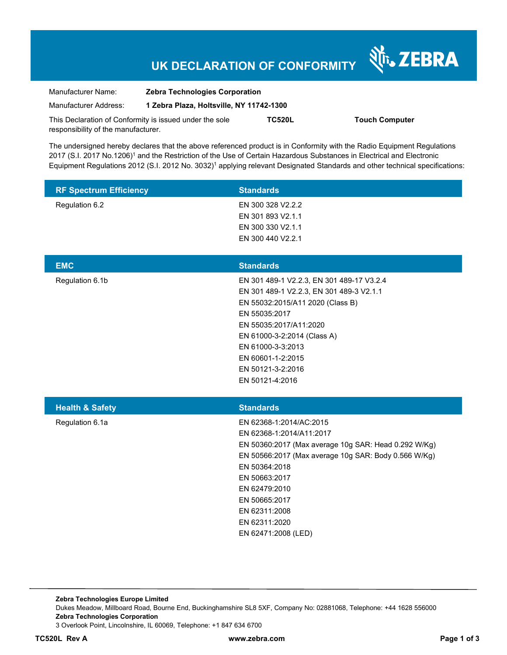# **UK DECLARATION OF CONFORMITY**

Nr. ZEBRA

| Manufacturer Name:                                      | <b>Zebra Technologies Corporation</b>    |               |                       |
|---------------------------------------------------------|------------------------------------------|---------------|-----------------------|
| Manufacturer Address:                                   | 1 Zebra Plaza, Holtsville, NY 11742-1300 |               |                       |
| This Declaration of Conformity is issued under the sole |                                          | <b>TC520L</b> | <b>Touch Computer</b> |
| responsibility of the manufacturer.                     |                                          |               |                       |

The undersigned hereby declares that the above referenced product is in Conformity with the Radio Equipment Regulations 2017 (S.I. 2017 No.1206)<sup>1</sup> and the Restriction of the Use of Certain Hazardous Substances in Electrical and Electronic Equipment Regulations 2012 (S.I. 2012 No. 3032)<sup>1</sup> applying relevant Designated Standards and other technical specifications:

| <b>RF Spectrum Efficiency</b> | <b>Standards</b>                                                                                                                                                                                                                                                                                 |
|-------------------------------|--------------------------------------------------------------------------------------------------------------------------------------------------------------------------------------------------------------------------------------------------------------------------------------------------|
| Regulation 6.2                | EN 300 328 V2.2.2<br>EN 301 893 V2.1.1<br>EN 300 330 V2.1.1<br>EN 300 440 V2.2.1                                                                                                                                                                                                                 |
| <b>EMC</b>                    | <b>Standards</b>                                                                                                                                                                                                                                                                                 |
| Regulation 6.1b               | EN 301 489-1 V2.2.3, EN 301 489-17 V3.2.4<br>EN 301 489-1 V2.2.3, EN 301 489-3 V2.1.1<br>EN 55032:2015/A11 2020 (Class B)<br>EN 55035:2017<br>EN 55035:2017/A11:2020<br>EN 61000-3-2:2014 (Class A)<br>EN 61000-3-3:2013<br>EN 60601-1-2:2015<br>EN 50121-3-2:2016<br>EN 50121-4:2016            |
| <b>Health &amp; Safety</b>    | <b>Standards</b>                                                                                                                                                                                                                                                                                 |
| Regulation 6.1a               | EN 62368-1:2014/AC:2015<br>EN 62368-1:2014/A11:2017<br>EN 50360:2017 (Max average 10g SAR: Head 0.292 W/Kg)<br>EN 50566:2017 (Max average 10g SAR: Body 0.566 W/Kg)<br>EN 50364:2018<br>EN 50663:2017<br>EN 62479:2010<br>EN 50665:2017<br>EN 62311:2008<br>EN 62311:2020<br>EN 62471:2008 (LED) |

**Zebra Technologies Europe Limited**  Dukes Meadow, Millboard Road, Bourne End, Buckinghamshire SL8 5XF, Company No: 02881068, Telephone: +44 1628 556000 **Zebra Technologies Corporation**  3 Overlook Point, Lincolnshire, IL 60069, Telephone: +1 847 634 6700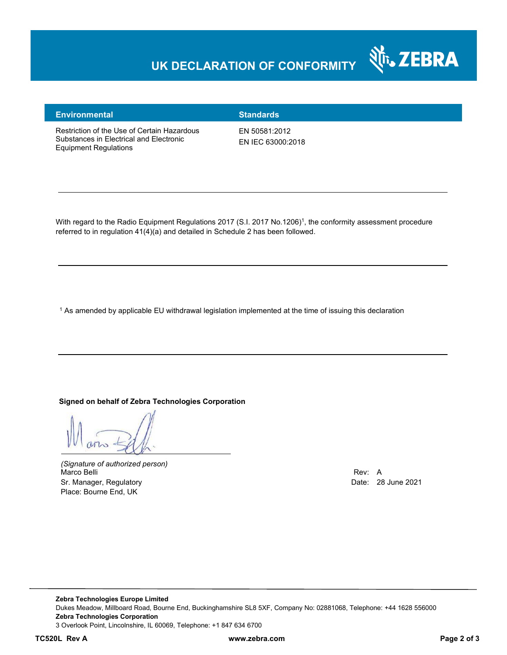## **UK DECLARATION OF CONFORMITY**



#### **Environmental Standards**

Restriction of the Use of Certain Hazardous Substances in Electrical and Electronic Equipment Regulations

EN 50581:2012 EN IEC 63000:2018

With regard to the Radio Equipment Regulations 2017 (S.I. 2017 No.1206)<sup>1</sup>, the conformity assessment procedure referred to in regulation 41(4)(a) and detailed in Schedule 2 has been followed.

1 As amended by applicable EU withdrawal legislation implemented at the time of issuing this declaration

#### **Signed on behalf of Zebra Technologies Corporation**

*(Signature of authorized person)* Marco Belli Rev: A Sr. Manager, Regulatory **Date: 28 June 2021** Control of the Date: 28 June 2021 Place: Bourne End, UK